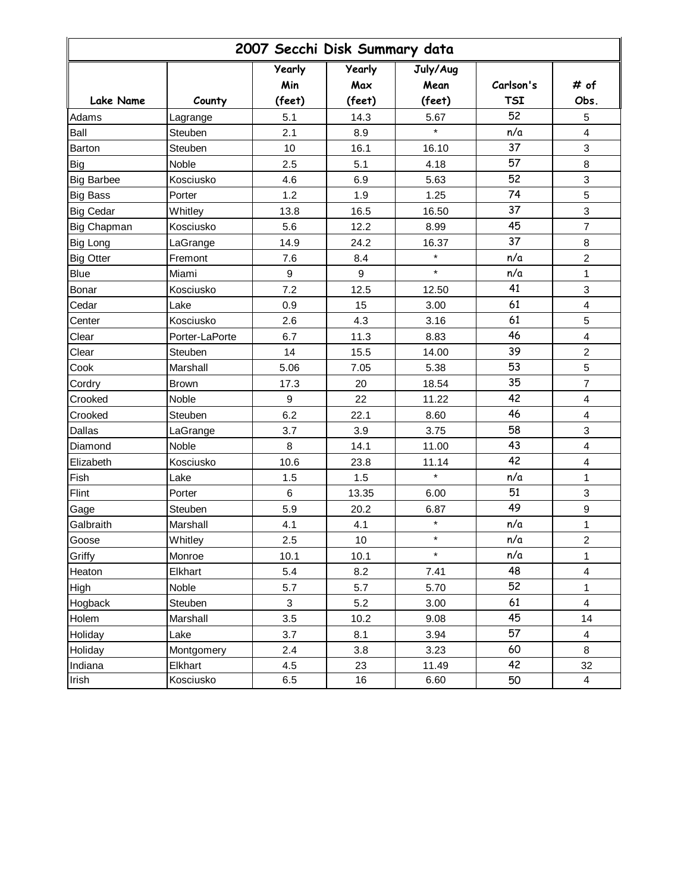| 2007 Secchi Disk Summary data |                |                      |                      |                  |            |                           |  |
|-------------------------------|----------------|----------------------|----------------------|------------------|------------|---------------------------|--|
|                               |                | <b>Yearly</b><br>Min | <b>Yearly</b><br>Max | July/Aug<br>Mean | Carlson's  | # of                      |  |
| <b>Lake Name</b>              | County         | (feet)               | (feet)               | (feet)           | <b>TSI</b> | Obs.                      |  |
| Adams                         | Lagrange       | 5.1                  | 14.3                 | 5.67             | 52         | 5                         |  |
| Ball                          | Steuben        | 2.1                  | 8.9                  | $\star$          | n/a        | $\overline{\mathbf{4}}$   |  |
| Barton                        | Steuben        | 10                   | 16.1                 | 16.10            | 37         | 3                         |  |
| <b>Big</b>                    | Noble          | 2.5                  | 5.1                  | 4.18             | 57         | 8                         |  |
| <b>Big Barbee</b>             | Kosciusko      | 4.6                  | 6.9                  | 5.63             | 52         | $\ensuremath{\mathsf{3}}$ |  |
| <b>Big Bass</b>               | Porter         | 1.2                  | 1.9                  | 1.25             | 74         | 5                         |  |
| <b>Big Cedar</b>              | Whitley        | 13.8                 | 16.5                 | 16.50            | 37         | 3                         |  |
| Big Chapman                   | Kosciusko      | 5.6                  | 12.2                 | 8.99             | 45         | $\overline{7}$            |  |
| <b>Big Long</b>               | LaGrange       | 14.9                 | 24.2                 | 16.37            | 37         | 8                         |  |
| <b>Big Otter</b>              | Fremont        | 7.6                  | 8.4                  | $\star$          | n/a        | $\overline{2}$            |  |
| <b>Blue</b>                   | Miami          | $\boldsymbol{9}$     | 9                    | $\star$          | n/a        | 1                         |  |
| Bonar                         | Kosciusko      | 7.2                  | 12.5                 | 12.50            | 41         | 3                         |  |
| Cedar                         | Lake           | 0.9                  | 15                   | 3.00             | 61         | $\overline{\mathbf{4}}$   |  |
| Center                        | Kosciusko      | 2.6                  | 4.3                  | 3.16             | 61         | 5                         |  |
| Clear                         | Porter-LaPorte | 6.7                  | 11.3                 | 8.83             | 46         | $\overline{\mathbf{4}}$   |  |
| Clear                         | Steuben        | 14                   | 15.5                 | 14.00            | 39         | $\overline{2}$            |  |
| Cook                          | Marshall       | 5.06                 | 7.05                 | 5.38             | 53         | 5                         |  |
| Cordry                        | <b>Brown</b>   | 17.3                 | 20                   | 18.54            | 35         | $\overline{7}$            |  |
| Crooked                       | Noble          | 9                    | 22                   | 11.22            | 42         | $\overline{\mathbf{4}}$   |  |
| Crooked                       | Steuben        | 6.2                  | 22.1                 | 8.60             | 46         | $\overline{\mathbf{4}}$   |  |
| Dallas                        | LaGrange       | 3.7                  | 3.9                  | 3.75             | 58         | 3                         |  |
| Diamond                       | Noble          | 8                    | 14.1                 | 11.00            | 43         | 4                         |  |
| Elizabeth                     | Kosciusko      | 10.6                 | 23.8                 | 11.14            | 42         | $\overline{\mathbf{4}}$   |  |
| Fish                          | Lake           | 1.5                  | 1.5                  | $\star$          | n/a        | $\mathbf{1}$              |  |
| Flint                         | Porter         | 6                    | 13.35                | 6.00             | 51         | 3                         |  |
| Gage                          | Steuben        | 5.9                  | 20.2                 | 6.87             | 49         | 9                         |  |
| Galbraith                     | Marshall       | 4.1                  | 4.1                  | $\star$          | n/a        | 1                         |  |
| Goose                         | Whitley        | 2.5                  | $10$                 | $\star$          | n/a        | $\overline{c}$            |  |
| Griffy                        | Monroe         | 10.1                 | 10.1                 | $\star$          | n/a        | 1                         |  |
| Heaton                        | Elkhart        | 5.4                  | 8.2                  | 7.41             | 48         | $\overline{\mathbf{4}}$   |  |
| High                          | Noble          | 5.7                  | 5.7                  | 5.70             | 52         | $\mathbf{1}$              |  |
| Hogback                       | Steuben        | 3                    | 5.2                  | 3.00             | 61         | $\overline{\mathbf{4}}$   |  |
| Holem                         | Marshall       | 3.5                  | 10.2                 | 9.08             | 45         | 14                        |  |
| Holiday                       | Lake           | 3.7                  | 8.1                  | 3.94             | 57         | $\overline{\mathbf{4}}$   |  |
| Holiday                       | Montgomery     | 2.4                  | 3.8                  | 3.23             | 60         | 8                         |  |
| Indiana                       | Elkhart        | 4.5                  | 23                   | 11.49            | 42         | 32                        |  |
| Irish                         | Kosciusko      | 6.5                  | 16                   | 6.60             | 50         | $\overline{4}$            |  |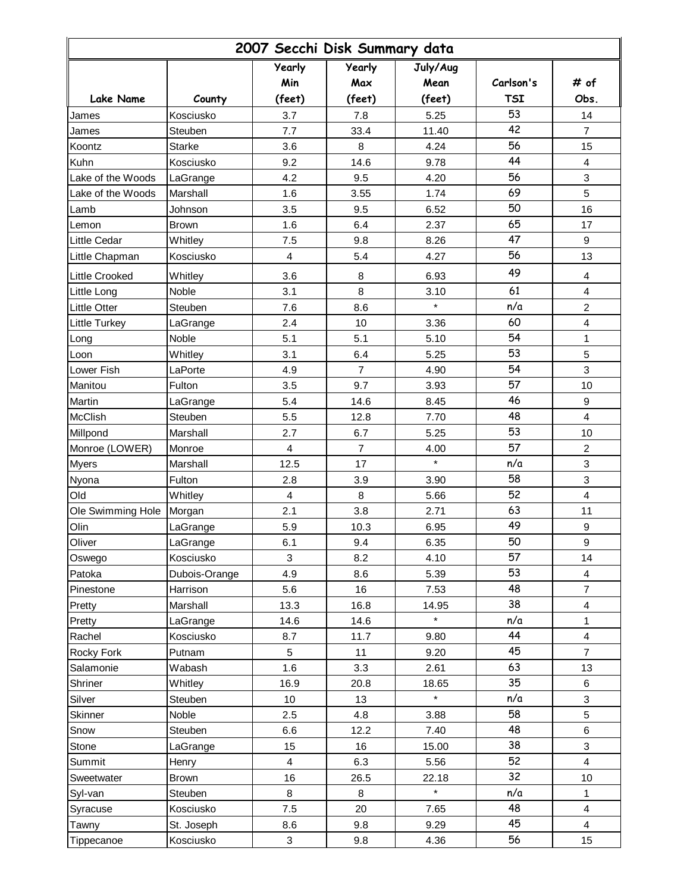| 2007 Secchi Disk Summary data |               |                         |                |          |            |                         |  |
|-------------------------------|---------------|-------------------------|----------------|----------|------------|-------------------------|--|
|                               |               | <b>Yearly</b>           | <b>Yearly</b>  | July/Aug |            |                         |  |
|                               |               | Min                     | Max            | Mean     | Carlson's  | # of                    |  |
| <b>Lake Name</b>              | County        | (feet)                  | (feet)         | (feet)   | <b>TSI</b> | Obs.                    |  |
| James                         | Kosciusko     | 3.7                     | 7.8            | 5.25     | 53         | 14                      |  |
| James                         | Steuben       | 7.7                     | 33.4           | 11.40    | 42         | 7                       |  |
| Koontz                        | <b>Starke</b> | 3.6                     | 8              | 4.24     | 56         | 15                      |  |
| Kuhn                          | Kosciusko     | 9.2                     | 14.6           | 9.78     | 44         | $\overline{\mathbf{4}}$ |  |
| Lake of the Woods             | LaGrange      | 4.2                     | 9.5            | 4.20     | 56         | 3                       |  |
| Lake of the Woods             | Marshall      | 1.6                     | 3.55           | 1.74     | 69         | 5                       |  |
| Lamb                          | Johnson       | 3.5                     | 9.5            | 6.52     | 50         | 16                      |  |
| Lemon                         | <b>Brown</b>  | 1.6                     | 6.4            | 2.37     | 65         | 17                      |  |
| Little Cedar                  | Whitley       | 7.5                     | 9.8            | 8.26     | 47         | 9                       |  |
| Little Chapman                | Kosciusko     | $\overline{\mathbf{4}}$ | 5.4            | 4.27     | 56         | 13                      |  |
| <b>Little Crooked</b>         | Whitley       | 3.6                     | 8              | 6.93     | 49         | 4                       |  |
| Little Long                   | Noble         | 3.1                     | 8              | 3.10     | 61         | 4                       |  |
| <b>Little Otter</b>           | Steuben       | 7.6                     | 8.6            | $\star$  | n/a        | $\overline{c}$          |  |
| Little Turkey                 | LaGrange      | 2.4                     | 10             | 3.36     | 60         | $\overline{4}$          |  |
| Long                          | Noble         | 5.1                     | 5.1            | 5.10     | 54         | $\mathbf{1}$            |  |
| Loon                          | Whitley       | 3.1                     | 6.4            | 5.25     | 53         | 5                       |  |
| Lower Fish                    | LaPorte       | 4.9                     | $\overline{7}$ | 4.90     | 54         | 3                       |  |
| Manitou                       | Fulton        | 3.5                     | 9.7            | 3.93     | 57         | 10                      |  |
| Martin                        | LaGrange      | 5.4                     | 14.6           | 8.45     | 46         | 9                       |  |
| McClish                       | Steuben       | 5.5                     | 12.8           | 7.70     | 48         | $\overline{4}$          |  |
| Millpond                      | Marshall      | 2.7                     | 6.7            | 5.25     | 53         | 10                      |  |
| Monroe (LOWER)                | Monroe        | 4                       | $\overline{7}$ | 4.00     | 57         | $\overline{c}$          |  |
| Myers                         | Marshall      | 12.5                    | 17             | $\star$  | n/a        | 3                       |  |
| Nyona                         | Fulton        | 2.8                     | 3.9            | 3.90     | 58         | 3                       |  |
| Old                           | Whitley       | 4                       | 8              | 5.66     | 52         | $\overline{4}$          |  |
| Ole Swimming Hole             | Morgan        | 2.1                     | 3.8            | 2.71     | 63         | 11                      |  |
| Olin                          | LaGrange      | 5.9                     | 10.3           | 6.95     | 49         | 9                       |  |
| Oliver                        | LaGrange      | 6.1                     | 9.4            | 6.35     | 50         | 9                       |  |
| Oswego                        | Kosciusko     | 3                       | 8.2            | 4.10     | 57         | 14                      |  |
| Patoka                        | Dubois-Orange | 4.9                     | 8.6            | 5.39     | 53         | 4                       |  |
| Pinestone                     | Harrison      | 5.6                     | 16             | 7.53     | 48         | $\overline{7}$          |  |
| Pretty                        | Marshall      | 13.3                    | 16.8           | 14.95    | 38         | $\overline{\mathbf{4}}$ |  |
| Pretty                        | LaGrange      | 14.6                    | 14.6           | $\star$  | n/a        | 1                       |  |
| Rachel                        | Kosciusko     | 8.7                     | 11.7           | 9.80     | 44         | 4                       |  |
| Rocky Fork                    | Putnam        | 5                       | 11             | 9.20     | 45         | $\overline{7}$          |  |
| Salamonie                     | Wabash        | 1.6                     | 3.3            | 2.61     | 63         | 13                      |  |
| Shriner                       | Whitley       | 16.9                    | 20.8           | 18.65    | 35         | 6                       |  |
| Silver                        | Steuben       | 10 <sup>°</sup>         | 13             |          | n/a        | 3                       |  |
| Skinner                       | Noble         | 2.5                     | 4.8            | 3.88     | 58         | 5                       |  |
| Snow                          | Steuben       | 6.6                     | 12.2           | 7.40     | 48         | 6                       |  |
| Stone                         | LaGrange      | 15                      | 16             | 15.00    | 38         | 3                       |  |
| Summit                        | Henry         | $\overline{4}$          | 6.3            | 5.56     | 52         | 4                       |  |
| Sweetwater                    | <b>Brown</b>  | 16                      | 26.5           | 22.18    | 32         | 10                      |  |
| Syl-van                       | Steuben       | 8                       | 8              | $\star$  | n/a        | 1                       |  |
| Syracuse                      | Kosciusko     | 7.5                     | 20             | 7.65     | 48         | $\overline{4}$          |  |
| Tawny                         | St. Joseph    | 8.6                     | 9.8            | 9.29     | 45         | $\overline{4}$          |  |
| Tippecanoe                    | Kosciusko     | 3                       | 9.8            | 4.36     | 56         | 15                      |  |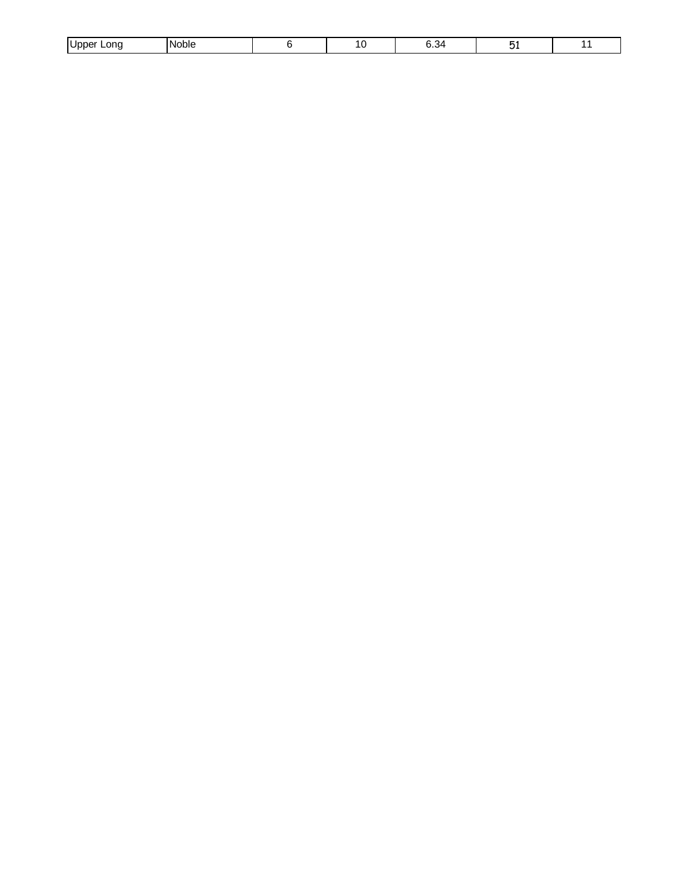| onc<br>.<br>וחר |  |  | $  -$ | . . |  |
|-----------------|--|--|-------|-----|--|
|-----------------|--|--|-------|-----|--|